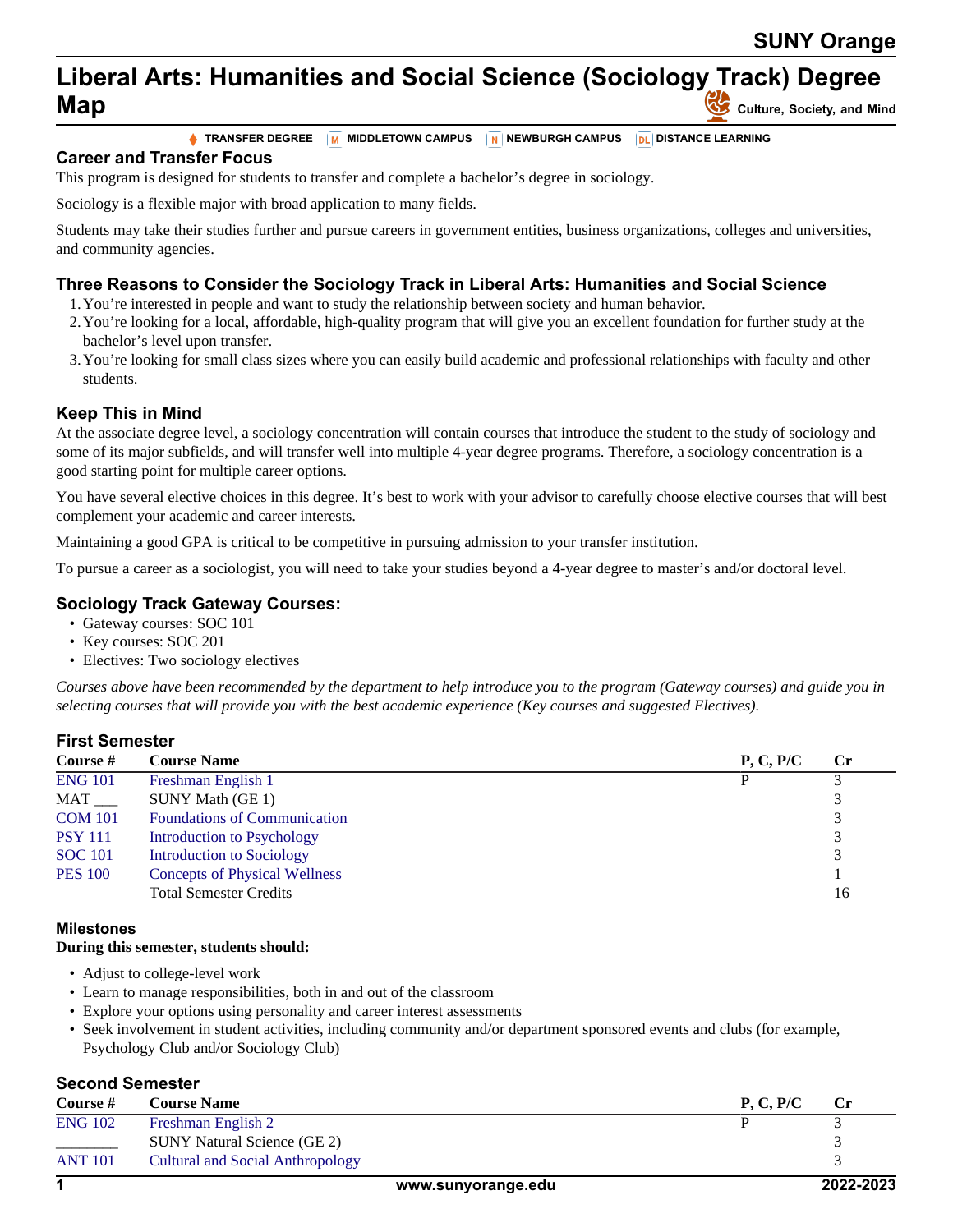# **Liberal Arts: Humanities and Social Science (Sociology Track) Degree Map Culture**, Society, and Mind

**TRANSFER DEGREE MIDDLETOWN CAMPUS NEWBURGH CAMPUS DISTANCE LEARNING**

**Career and Transfer Focus**

This program is designed for students to transfer and complete a bachelor's degree in sociology.

Sociology is a flexible major with broad application to many fields.

Students may take their studies further and pursue careers in government entities, business organizations, colleges and universities, and community agencies.

## **Three Reasons to Consider the Sociology Track in Liberal Arts: Humanities and Social Science**

- 1.You're interested in people and want to study the relationship between society and human behavior.
- 2.You're looking for a local, affordable, high-quality program that will give you an excellent foundation for further study at the bachelor's level upon transfer.
- 3.You're looking for small class sizes where you can easily build academic and professional relationships with faculty and other students.

## **Keep This in Mind**

At the associate degree level, a sociology concentration will contain courses that introduce the student to the study of sociology and some of its major subfields, and will transfer well into multiple 4-year degree programs. Therefore, a sociology concentration is a good starting point for multiple career options.

You have several elective choices in this degree. It's best to work with your advisor to carefully choose elective courses that will best complement your academic and career interests.

Maintaining a good GPA is critical to be competitive in pursuing admission to your transfer institution.

To pursue a career as a sociologist, you will need to take your studies beyond a 4-year degree to master's and/or doctoral level.

## **Sociology Track Gateway Courses:**

- Gateway courses: SOC 101
- Key courses: SOC 201
- Electives: Two sociology electives

*Courses above have been recommended by the department to help introduce you to the program (Gateway courses) and guide you in selecting courses that will provide you with the best academic experience (Key courses and suggested Electives).*

### **First Semester**

| Course #       | <b>Course Name</b>                   | P, C, P/C | <b>Cr</b> |
|----------------|--------------------------------------|-----------|-----------|
| <b>ENG 101</b> | Freshman English 1                   |           |           |
|                | SUNY Math (GE 1)                     |           |           |
| <b>COM 101</b> | <b>Foundations of Communication</b>  |           |           |
| <b>PSY 111</b> | Introduction to Psychology           |           |           |
| <b>SOC</b> 101 | <b>Introduction to Sociology</b>     |           |           |
| <b>PES 100</b> | <b>Concepts of Physical Wellness</b> |           |           |
|                | <b>Total Semester Credits</b>        |           | 16        |

#### **Milestones**

#### **During this semester, students should:**

- Adjust to college-level work
- Learn to manage responsibilities, both in and out of the classroom
- Explore your options using personality and career interest assessments
- Seek involvement in student activities, including community and/or department sponsored events and clubs (for example, Psychology Club and/or Sociology Club)

### **Second Semester**

| <b>Course</b> # | <b>Course Name</b>                 |                    | P. C. P/C | $\bf Cr$  |
|-----------------|------------------------------------|--------------------|-----------|-----------|
| <b>ENG 102</b>  | Freshman English 2                 |                    |           |           |
|                 | <b>SUNY Natural Science (GE 2)</b> |                    |           |           |
| <b>ANT 101</b>  | Cultural and Social Anthropology   |                    |           |           |
|                 |                                    | www.sunyorange.edu |           | 2022-2023 |